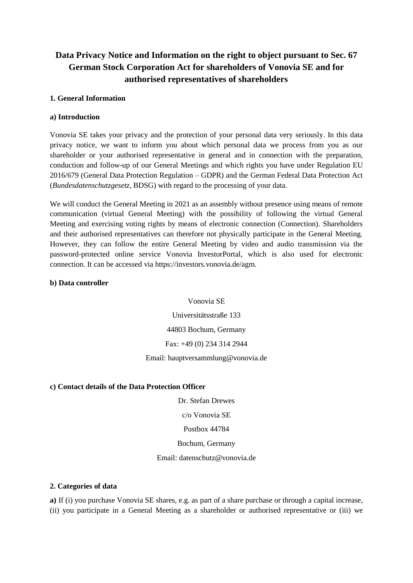# **Data Privacy Notice and Information on the right to object pursuant to Sec. 67 German Stock Corporation Act for shareholders of Vonovia SE and for authorised representatives of shareholders**

#### **1. General Information**

#### **a) Introduction**

Vonovia SE takes your privacy and the protection of your personal data very seriously. In this data privacy notice, we want to inform you about which personal data we process from you as our shareholder or your authorised representative in general and in connection with the preparation, conduction and follow-up of our General Meetings and which rights you have under Regulation EU 2016/679 (General Data Protection Regulation – GDPR) and the German Federal Data Protection Act (*Bundesdatenschutzgesetz*, BDSG) with regard to the processing of your data.

We will conduct the General Meeting in 2021 as an assembly without presence using means of remote communication (virtual General Meeting) with the possibility of following the virtual General Meeting and exercising voting rights by means of electronic connection (Connection). Shareholders and their authorised representatives can therefore not physically participate in the General Meeting. However, they can follow the entire General Meeting by video and audio transmission via the password-protected online service Vonovia InvestorPortal, which is also used for electronic connection. It can be accessed via https://investors.vonovia.de/agm.

#### **b) Data controller**

Vonovia SE

Universitätsstraße 133

44803 Bochum, Germany

Fax: +49 (0) 234 314 2944

Email: hauptversammlung@vonovia.de

#### **c) Contact details of the Data Protection Officer**

Dr. Stefan Drewes

c/o Vonovia SE

Postbox 44784

Bochum, Germany

Email: datenschutz@vonovia.de

#### **2. Categories of data**

**a)** If (i) you purchase Vonovia SE shares, e.g. as part of a share purchase or through a capital increase, (ii) you participate in a General Meeting as a shareholder or authorised representative or (iii) we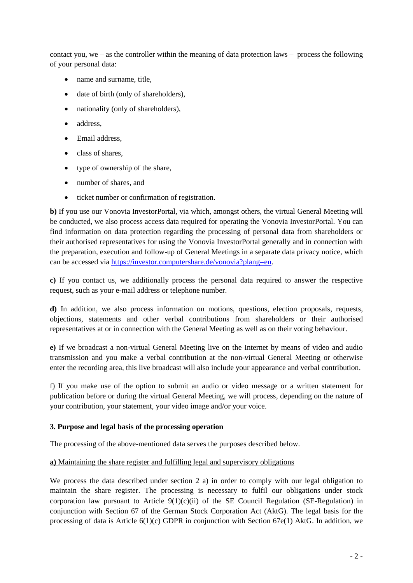contact you, we – as the controller within the meaning of data protection laws – process the following of your personal data:

- name and surname, title,
- date of birth (only of shareholders),
- nationality (only of shareholders),
- address.
- Email address,
- class of shares,
- type of ownership of the share,
- number of shares, and
- ticket number or confirmation of registration.

**b)** If you use our Vonovia InvestorPortal, via which, amongst others, the virtual General Meeting will be conducted, we also process access data required for operating the Vonovia InvestorPortal. You can find information on data protection regarding the processing of personal data from shareholders or their authorised representatives for using the Vonovia InvestorPortal generally and in connection with the preparation, execution and follow-up of General Meetings in a separate data privacy notice, which can be accessed via [https://investor.computershare.de/vonovia?plang=en.](https://investor.computershare.de/vonovia?plang=en)

**c)** If you contact us, we additionally process the personal data required to answer the respective request, such as your e-mail address or telephone number.

**d)** In addition, we also process information on motions, questions, election proposals, requests, objections, statements and other verbal contributions from shareholders or their authorised representatives at or in connection with the General Meeting as well as on their voting behaviour.

**e)** If we broadcast a non-virtual General Meeting live on the Internet by means of video and audio transmission and you make a verbal contribution at the non-virtual General Meeting or otherwise enter the recording area, this live broadcast will also include your appearance and verbal contribution.

f) If you make use of the option to submit an audio or video message or a written statement for publication before or during the virtual General Meeting, we will process, depending on the nature of your contribution, your statement, your video image and/or your voice.

### **3. Purpose and legal basis of the processing operation**

The processing of the above-mentioned data serves the purposes described below.

### **a)** Maintaining the share register and fulfilling legal and supervisory obligations

We process the data described under section 2 a) in order to comply with our legal obligation to maintain the share register. The processing is necessary to fulfil our obligations under stock corporation law pursuant to Article  $9(1)(c)(ii)$  of the SE Council Regulation (SE-Regulation) in conjunction with Section 67 of the German Stock Corporation Act (AktG). The legal basis for the processing of data is Article  $6(1)(c)$  GDPR in conjunction with Section  $67e(1)$  AktG. In addition, we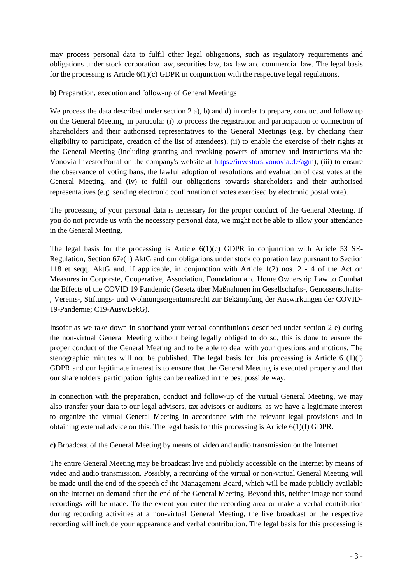may process personal data to fulfil other legal obligations, such as regulatory requirements and obligations under stock corporation law, securities law, tax law and commercial law. The legal basis for the processing is Article  $6(1)(c)$  GDPR in conjunction with the respective legal regulations.

### **b)** Preparation, execution and follow-up of General Meetings

We process the data described under section 2 a), b) and d) in order to prepare, conduct and follow up on the General Meeting, in particular (i) to process the registration and participation or connection of shareholders and their authorised representatives to the General Meetings (e.g. by checking their eligibility to participate, creation of the list of attendees), (ii) to enable the exercise of their rights at the General Meeting (including granting and revoking powers of attorney and instructions via the Vonovia InvestorPortal on the company's website at [https://investors.vonovia.de/agm\)](https://investors.vonovia.de/agm), (iii) to ensure the observance of voting bans, the lawful adoption of resolutions and evaluation of cast votes at the General Meeting, and (iv) to fulfil our obligations towards shareholders and their authorised representatives (e.g. sending electronic confirmation of votes exercised by electronic postal vote).

The processing of your personal data is necessary for the proper conduct of the General Meeting. If you do not provide us with the necessary personal data, we might not be able to allow your attendance in the General Meeting.

The legal basis for the processing is Article  $6(1)(c)$  GDPR in conjunction with Article 53 SE-Regulation, Section 67e(1) AktG and our obligations under stock corporation law pursuant to Section 118 et seqq. AktG and, if applicable, in conjunction with Article 1(2) nos. 2 - 4 of the Act on Measures in Corporate, Cooperative, Association, Foundation and Home Ownership Law to Combat the Effects of the COVID 19 Pandemic (Gesetz über Maßnahmen im Gesellschafts-, Genossenschafts- , Vereins-, Stiftungs- und Wohnungseigentumsrecht zur Bekämpfung der Auswirkungen der COVID-19-Pandemie; C19-AuswBekG).

Insofar as we take down in shorthand your verbal contributions described under section 2 e) during the non-virtual General Meeting without being legally obliged to do so, this is done to ensure the proper conduct of the General Meeting and to be able to deal with your questions and motions. The stenographic minutes will not be published. The legal basis for this processing is Article 6 (1)(f) GDPR and our legitimate interest is to ensure that the General Meeting is executed properly and that our shareholders' participation rights can be realized in the best possible way.

In connection with the preparation, conduct and follow-up of the virtual General Meeting, we may also transfer your data to our legal advisors, tax advisors or auditors, as we have a legitimate interest to organize the virtual General Meeting in accordance with the relevant legal provisions and in obtaining external advice on this. The legal basis for this processing is Article 6(1)(f) GDPR.

#### **c)** Broadcast of the General Meeting by means of video and audio transmission on the Internet

The entire General Meeting may be broadcast live and publicly accessible on the Internet by means of video and audio transmission. Possibly, a recording of the virtual or non-virtual General Meeting will be made until the end of the speech of the Management Board, which will be made publicly available on the Internet on demand after the end of the General Meeting. Beyond this, neither image nor sound recordings will be made. To the extent you enter the recording area or make a verbal contribution during recording activities at a non-virtual General Meeting, the live broadcast or the respective recording will include your appearance and verbal contribution. The legal basis for this processing is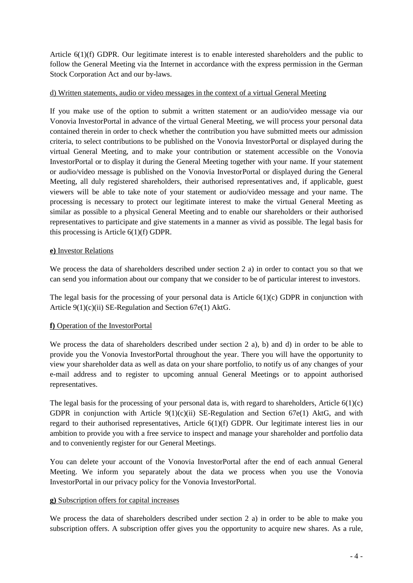Article 6(1)(f) GDPR. Our legitimate interest is to enable interested shareholders and the public to follow the General Meeting via the Internet in accordance with the express permission in the German Stock Corporation Act and our by-laws.

### d) Written statements, audio or video messages in the context of a virtual General Meeting

If you make use of the option to submit a written statement or an audio/video message via our Vonovia InvestorPortal in advance of the virtual General Meeting, we will process your personal data contained therein in order to check whether the contribution you have submitted meets our admission criteria, to select contributions to be published on the Vonovia InvestorPortal or displayed during the virtual General Meeting, and to make your contribution or statement accessible on the Vonovia InvestorPortal or to display it during the General Meeting together with your name. If your statement or audio/video message is published on the Vonovia InvestorPortal or displayed during the General Meeting, all duly registered shareholders, their authorised representatives and, if applicable, guest viewers will be able to take note of your statement or audio/video message and your name. The processing is necessary to protect our legitimate interest to make the virtual General Meeting as similar as possible to a physical General Meeting and to enable our shareholders or their authorised representatives to participate and give statements in a manner as vivid as possible. The legal basis for this processing is Article 6(1)(f) GDPR.

#### **e)** Investor Relations

We process the data of shareholders described under section 2 a) in order to contact you so that we can send you information about our company that we consider to be of particular interest to investors.

The legal basis for the processing of your personal data is Article  $6(1)(c)$  GDPR in conjunction with Article 9(1)(c)(ii) SE-Regulation and Section 67e(1) AktG.

### **f)** Operation of the InvestorPortal

We process the data of shareholders described under section 2 a), b) and d) in order to be able to provide you the Vonovia InvestorPortal throughout the year. There you will have the opportunity to view your shareholder data as well as data on your share portfolio, to notify us of any changes of your e-mail address and to register to upcoming annual General Meetings or to appoint authorised representatives.

The legal basis for the processing of your personal data is, with regard to shareholders, Article  $6(1)(c)$ GDPR in conjunction with Article  $9(1)(c)(ii)$  SE-Regulation and Section 67e(1) AktG, and with regard to their authorised representatives, Article 6(1)(f) GDPR. Our legitimate interest lies in our ambition to provide you with a free service to inspect and manage your shareholder and portfolio data and to conveniently register for our General Meetings.

You can delete your account of the Vonovia InvestorPortal after the end of each annual General Meeting. We inform you separately about the data we process when you use the Vonovia InvestorPortal in our privacy policy for the Vonovia InvestorPortal.

### **g)** Subscription offers for capital increases

We process the data of shareholders described under section 2 a) in order to be able to make you subscription offers. A subscription offer gives you the opportunity to acquire new shares. As a rule,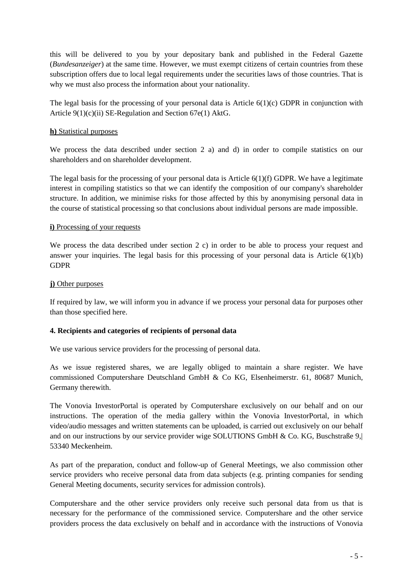this will be delivered to you by your depositary bank and published in the Federal Gazette (*Bundesanzeiger*) at the same time. However, we must exempt citizens of certain countries from these subscription offers due to local legal requirements under the securities laws of those countries. That is why we must also process the information about your nationality.

The legal basis for the processing of your personal data is Article  $6(1)(c)$  GDPR in conjunction with Article 9(1)(c)(ii) SE-Regulation and Section 67e(1) AktG.

#### **h)** Statistical purposes

We process the data described under section 2 a) and d) in order to compile statistics on our shareholders and on shareholder development.

The legal basis for the processing of your personal data is Article  $6(1)(f)$  GDPR. We have a legitimate interest in compiling statistics so that we can identify the composition of our company's shareholder structure. In addition, we minimise risks for those affected by this by anonymising personal data in the course of statistical processing so that conclusions about individual persons are made impossible.

#### **i**) Processing of your requests

We process the data described under section 2 c) in order to be able to process your request and answer your inquiries. The legal basis for this processing of your personal data is Article  $6(1)(b)$ GDPR

#### **j**) Other purposes

If required by law, we will inform you in advance if we process your personal data for purposes other than those specified here.

### **4. Recipients and categories of recipients of personal data**

We use various service providers for the processing of personal data.

As we issue registered shares, we are legally obliged to maintain a share register. We have commissioned Computershare Deutschland GmbH & Co KG, Elsenheimerstr. 61, 80687 Munich, Germany therewith.

The Vonovia InvestorPortal is operated by Computershare exclusively on our behalf and on our instructions. The operation of the media gallery within the Vonovia InvestorPortal, in which video/audio messages and written statements can be uploaded, is carried out exclusively on our behalf and on our instructions by our service provider wige SOLUTIONS GmbH  $\&$  Co. KG, Buschstraße 9, 53340 Meckenheim.

As part of the preparation, conduct and follow-up of General Meetings, we also commission other service providers who receive personal data from data subjects (e.g. printing companies for sending General Meeting documents, security services for admission controls).

Computershare and the other service providers only receive such personal data from us that is necessary for the performance of the commissioned service. Computershare and the other service providers process the data exclusively on behalf and in accordance with the instructions of Vonovia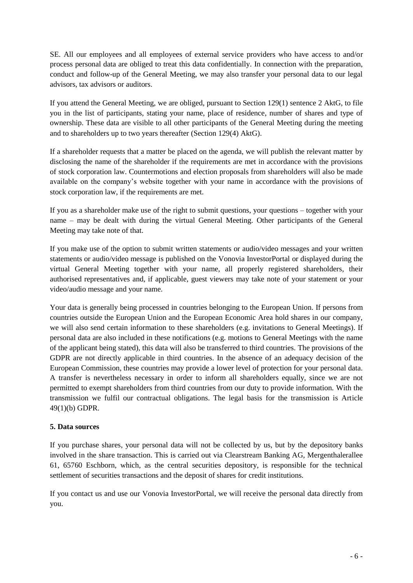SE. All our employees and all employees of external service providers who have access to and/or process personal data are obliged to treat this data confidentially. In connection with the preparation, conduct and follow-up of the General Meeting, we may also transfer your personal data to our legal advisors, tax advisors or auditors.

If you attend the General Meeting, we are obliged, pursuant to Section 129(1) sentence 2 AktG, to file you in the list of participants, stating your name, place of residence, number of shares and type of ownership. These data are visible to all other participants of the General Meeting during the meeting and to shareholders up to two years thereafter (Section 129(4) AktG).

If a shareholder requests that a matter be placed on the agenda, we will publish the relevant matter by disclosing the name of the shareholder if the requirements are met in accordance with the provisions of stock corporation law. Countermotions and election proposals from shareholders will also be made available on the company's website together with your name in accordance with the provisions of stock corporation law, if the requirements are met.

If you as a shareholder make use of the right to submit questions, your questions – together with your name – may be dealt with during the virtual General Meeting. Other participants of the General Meeting may take note of that.

If you make use of the option to submit written statements or audio/video messages and your written statements or audio/video message is published on the Vonovia InvestorPortal or displayed during the virtual General Meeting together with your name, all properly registered shareholders, their authorised representatives and, if applicable, guest viewers may take note of your statement or your video/audio message and your name.

Your data is generally being processed in countries belonging to the European Union. If persons from countries outside the European Union and the European Economic Area hold shares in our company, we will also send certain information to these shareholders (e.g. invitations to General Meetings). If personal data are also included in these notifications (e.g. motions to General Meetings with the name of the applicant being stated), this data will also be transferred to third countries. The provisions of the GDPR are not directly applicable in third countries. In the absence of an adequacy decision of the European Commission, these countries may provide a lower level of protection for your personal data. A transfer is nevertheless necessary in order to inform all shareholders equally, since we are not permitted to exempt shareholders from third countries from our duty to provide information. With the transmission we fulfil our contractual obligations. The legal basis for the transmission is Article 49(1)(b) GDPR.

### **5. Data sources**

If you purchase shares, your personal data will not be collected by us, but by the depository banks involved in the share transaction. This is carried out via Clearstream Banking AG, Mergenthalerallee 61, 65760 Eschborn, which, as the central securities depository, is responsible for the technical settlement of securities transactions and the deposit of shares for credit institutions.

If you contact us and use our Vonovia InvestorPortal, we will receive the personal data directly from you.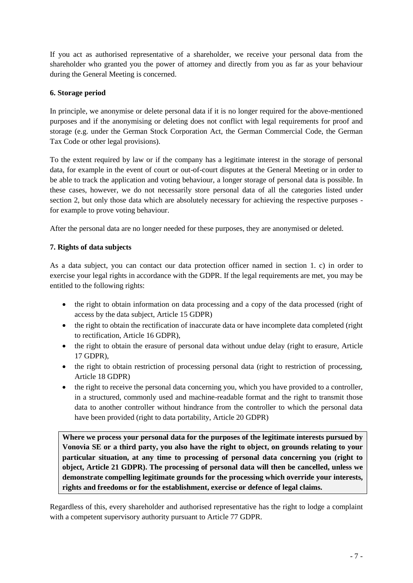If you act as authorised representative of a shareholder, we receive your personal data from the shareholder who granted you the power of attorney and directly from you as far as your behaviour during the General Meeting is concerned.

### **6. Storage period**

In principle, we anonymise or delete personal data if it is no longer required for the above-mentioned purposes and if the anonymising or deleting does not conflict with legal requirements for proof and storage (e.g. under the German Stock Corporation Act, the German Commercial Code, the German Tax Code or other legal provisions).

To the extent required by law or if the company has a legitimate interest in the storage of personal data, for example in the event of court or out-of-court disputes at the General Meeting or in order to be able to track the application and voting behaviour, a longer storage of personal data is possible. In these cases, however, we do not necessarily store personal data of all the categories listed under section 2, but only those data which are absolutely necessary for achieving the respective purposes for example to prove voting behaviour.

After the personal data are no longer needed for these purposes, they are anonymised or deleted.

### **7. Rights of data subjects**

As a data subject, you can contact our data protection officer named in section 1. c) in order to exercise your legal rights in accordance with the GDPR. If the legal requirements are met, you may be entitled to the following rights:

- the right to obtain information on data processing and a copy of the data processed (right of access by the data subject, Article 15 GDPR)
- the right to obtain the rectification of inaccurate data or have incomplete data completed (right to rectification, Article 16 GDPR),
- the right to obtain the erasure of personal data without undue delay (right to erasure, Article 17 GDPR),
- the right to obtain restriction of processing personal data (right to restriction of processing, Article 18 GDPR)
- the right to receive the personal data concerning you, which you have provided to a controller, in a structured, commonly used and machine-readable format and the right to transmit those data to another controller without hindrance from the controller to which the personal data have been provided (right to data portability, Article 20 GDPR)

**Where we process your personal data for the purposes of the legitimate interests pursued by Vonovia SE or a third party, you also have the right to object, on grounds relating to your particular situation, at any time to processing of personal data concerning you (right to object, Article 21 GDPR). The processing of personal data will then be cancelled, unless we demonstrate compelling legitimate grounds for the processing which override your interests, rights and freedoms or for the establishment, exercise or defence of legal claims.**

Regardless of this, every shareholder and authorised representative has the right to lodge a complaint with a competent supervisory authority pursuant to Article 77 GDPR.